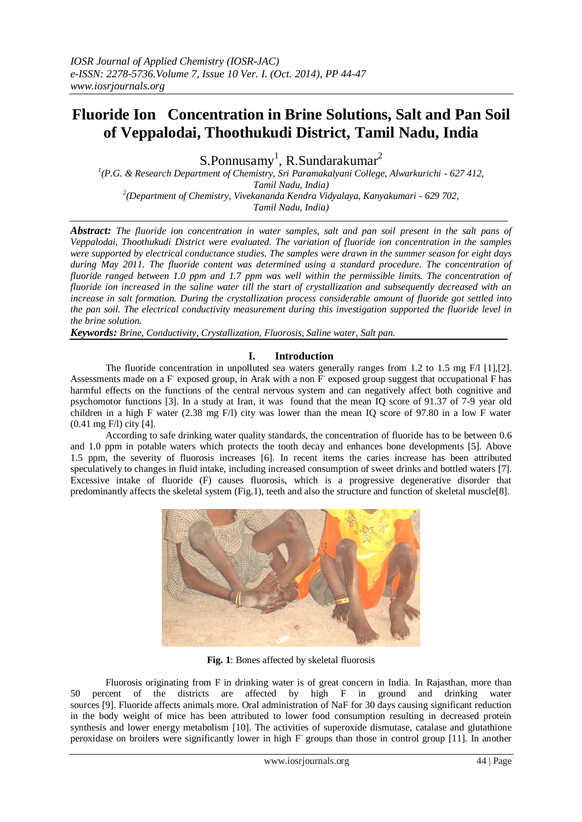# **Fluoride Ion Concentration in Brine Solutions, Salt and Pan Soil of Veppalodai, Thoothukudi District, Tamil Nadu, India**

S.Ponnusamy<sup>1</sup>, R.Sundarakumar<sup>2</sup>

*1 (P.G. & Research Department of Chemistry, Sri Paramakalyani College, Alwarkurichi - 627 412, Tamil Nadu, India) 2 (Department of Chemistry, Vivekananda Kendra Vidyalaya, Kanyakumari - 629 702, Tamil Nadu, India)*

*Abstract: The fluoride ion concentration in water samples, salt and pan soil present in the salt pans of Veppalodai, Thoothukudi District were evaluated. The variation of fluoride ion concentration in the samples were supported by electrical conductance studies. The samples were drawn in the summer season for eight days during May 2011. The fluoride content was determined using a standard procedure. The concentration of fluoride ranged between 1.0 ppm and 1.7 ppm was well within the permissible limits. The concentration of fluoride ion increased in the saline water till the start of crystallization and subsequently decreased with an increase in salt formation. During the crystallization process considerable amount of fluoride got settled into the pan soil. The electrical conductivity measurement during this investigation supported the fluoride level in the brine solution.*

*Keywords: Brine, Conductivity, Crystallization, Fluorosis, Saline water, Salt pan.*

# **I. Introduction**

The fluoride concentration in unpolluted sea waters generally ranges from 1.2 to 1.5 mg F/l [1],[2]. Assessments made on a F exposed group, in Arak with a non F exposed group suggest that occupational F has harmful effects on the functions of the central nervous system and can negatively affect both cognitive and psychomotor functions [3]. In a study at Iran, it was found that the mean IQ score of 91.37 of 7-9 year old children in a high F water (2.38 mg F/l) city was lower than the mean IQ score of 97.80 in a low F water (0.41 mg F/l) city [4].

 According to safe drinking water quality standards, the concentration of fluoride has to be between 0.6 and 1.0 ppm in potable waters which protects the tooth decay and enhances bone developments [5]. Above 1.5 ppm, the severity of fluorosis increases [6]. In recent items the caries increase has been attributed speculatively to changes in fluid intake, including increased consumption of sweet drinks and bottled waters [7]. Excessive intake of fluoride (F) causes fluorosis, which is a progressive degenerative disorder that predominantly affects the skeletal system (Fig.1), teeth and also the structure and function of skeletal muscle[8].



**Fig. 1**: Bones affected by skeletal fluorosis

Fluorosis originating from F in drinking water is of great concern in India. In Rajasthan, more than 50 percent of the districts are affected by high F in ground and drinking water sources [9]. Fluoride affects animals more. Oral administration of NaF for 30 days causing significant reduction in the body weight of mice has been attributed to lower food consumption resulting in decreased protein synthesis and lower energy metabolism [10]. The activities of superoxide dismutase, catalase and glutathione peroxidase on broilers were significantly lower in high F groups than those in control group [11]. In another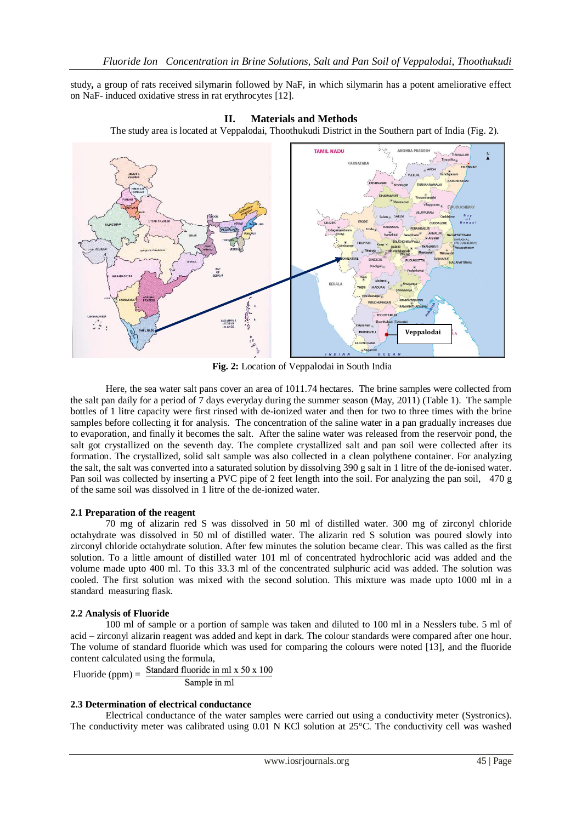study**,** a group of rats received silymarin followed by NaF, in which silymarin has a potent ameliorative effect on NaF- induced oxidative stress in rat erythrocytes [12].



**II. Materials and Methods** The study area is located at Veppalodai, Thoothukudi District in the Southern part of India (Fig. 2).

 **Fig. 2:** Location of Veppalodai in South India

Here, the sea water salt pans cover an area of 1011.74 hectares. The brine samples were collected from the salt pan daily for a period of 7 days everyday during the summer season (May, 2011) (Table 1). The sample bottles of 1 litre capacity were first rinsed with de-ionized water and then for two to three times with the brine samples before collecting it for analysis. The concentration of the saline water in a pan gradually increases due to evaporation, and finally it becomes the salt. After the saline water was released from the reservoir pond, the salt got crystallized on the seventh day. The complete crystallized salt and pan soil were collected after its formation. The crystallized, solid salt sample was also collected in a clean polythene container. For analyzing the salt, the salt was converted into a saturated solution by dissolving 390 g salt in 1 litre of the de-ionised water. Pan soil was collected by inserting a PVC pipe of 2 feet length into the soil. For analyzing the pan soil, 470 g of the same soil was dissolved in 1 litre of the de-ionized water.

# **2.1 Preparation of the reagent**

70 mg of alizarin red S was dissolved in 50 ml of distilled water. 300 mg of zirconyl chloride octahydrate was dissolved in 50 ml of distilled water. The alizarin red S solution was poured slowly into zirconyl chloride octahydrate solution. After few minutes the solution became clear. This was called as the first solution. To a little amount of distilled water 101 ml of concentrated hydrochloric acid was added and the volume made upto 400 ml. To this 33.3 ml of the concentrated sulphuric acid was added. The solution was cooled. The first solution was mixed with the second solution. This mixture was made upto 1000 ml in a standard measuring flask.

## **2.2 Analysis of Fluoride**

100 ml of sample or a portion of sample was taken and diluted to 100 ml in a Nesslers tube. 5 ml of acid – zirconyl alizarin reagent was added and kept in dark. The colour standards were compared after one hour. The volume of standard fluoride which was used for comparing the colours were noted [13], and the fluoride content calculated using the formula,<br>
Eluorida (npm) – Standard fluoride in ml x 50 x 100

 $Fluoride (ppm) =$ Sample in ml

## **2.3 Determination of electrical conductance**

Electrical conductance of the water samples were carried out using a conductivity meter (Systronics). The conductivity meter was calibrated using 0.01 N KCl solution at 25°C. The conductivity cell was washed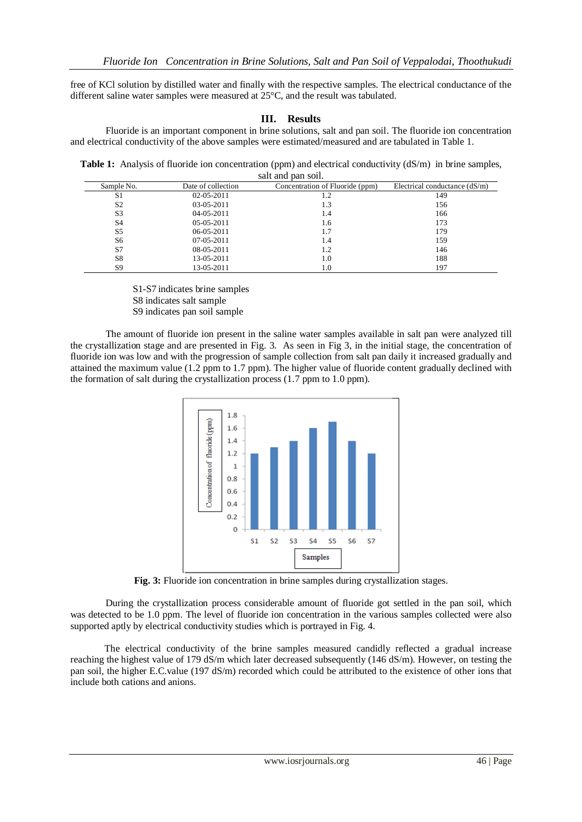free of KCl solution by distilled water and finally with the respective samples. The electrical conductance of the different saline water samples were measured at 25°C, and the result was tabulated.

## **III. Results**

Fluoride is an important component in brine solutions, salt and pan soil. The fluoride ion concentration and electrical conductivity of the above samples were estimated/measured and are tabulated in Table 1.

**Table 1:** Analysis of fluoride ion concentration (ppm) and electrical conductivity (dS/m) in brine samples, salt and pan soil.

| Electrical conductance $(dS/m)$ |
|---------------------------------|
| 149                             |
| 156                             |
| 166                             |
| 173                             |
| 179                             |
| 159                             |
| 146                             |
| 188                             |
| 197                             |
|                                 |

 S1-S7 indicates brine samples S8 indicates salt sample S9 indicates pan soil sample

The amount of fluoride ion present in the saline water samples available in salt pan were analyzed till the crystallization stage and are presented in Fig. 3. As seen in Fig 3, in the initial stage, the concentration of fluoride ion was low and with the progression of sample collection from salt pan daily it increased gradually and attained the maximum value (1.2 ppm to 1.7 ppm). The higher value of fluoride content gradually declined with the formation of salt during the crystallization process (1.7 ppm to 1.0 ppm).



**Fig. 3:** Fluoride ion concentration in brine samples during crystallization stages.

During the crystallization process considerable amount of fluoride got settled in the pan soil, which was detected to be 1.0 ppm. The level of fluoride ion concentration in the various samples collected were also supported aptly by electrical conductivity studies which is portrayed in Fig. 4.

 The electrical conductivity of the brine samples measured candidly reflected a gradual increase reaching the highest value of 179 dS/m which later decreased subsequently (146 dS/m). However, on testing the pan soil, the higher E.C.value (197 dS/m) recorded which could be attributed to the existence of other ions that include both cations and anions.